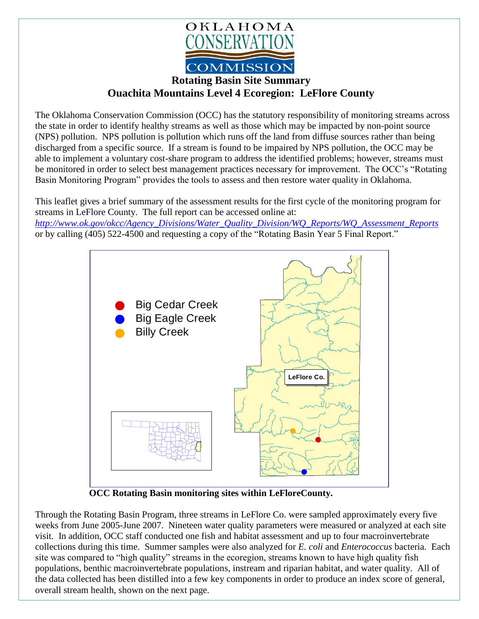

**Rotating Basin Site Summary Ouachita Mountains Level 4 Ecoregion: LeFlore County**

The Oklahoma Conservation Commission (OCC) has the statutory responsibility of monitoring streams across the state in order to identify healthy streams as well as those which may be impacted by non-point source (NPS) pollution. NPS pollution is pollution which runs off the land from diffuse sources rather than being discharged from a specific source. If a stream is found to be impaired by NPS pollution, the OCC may be able to implement a voluntary cost-share program to address the identified problems; however, streams must be monitored in order to select best management practices necessary for improvement. The OCC's "Rotating Basin Monitoring Program" provides the tools to assess and then restore water quality in Oklahoma.

This leaflet gives a brief summary of the assessment results for the first cycle of the monitoring program for streams in LeFlore County. The full report can be accessed online at:

*[http://www.ok.gov/okcc/Agency\\_Divisions/Water\\_Quality\\_Division/WQ\\_Reports/WQ\\_Assessment\\_Reports](http://www.ok.gov/okcc/Agency_Divisions/Water_Quality_Division/WQ_Reports/WQ_Assessment_Reports)* or by calling (405) 522-4500 and requesting a copy of the "Rotating Basin Year 5 Final Report."



 **OCC Rotating Basin monitoring sites within LeFloreCounty.**

Through the Rotating Basin Program, three streams in LeFlore Co. were sampled approximately every five weeks from June 2005-June 2007. Nineteen water quality parameters were measured or analyzed at each site visit. In addition, OCC staff conducted one fish and habitat assessment and up to four macroinvertebrate collections during this time. Summer samples were also analyzed for *E. coli* and *Enterococcus* bacteria. Each site was compared to "high quality" streams in the ecoregion, streams known to have high quality fish populations, benthic macroinvertebrate populations, instream and riparian habitat, and water quality. All of the data collected has been distilled into a few key components in order to produce an index score of general, overall stream health, shown on the next page.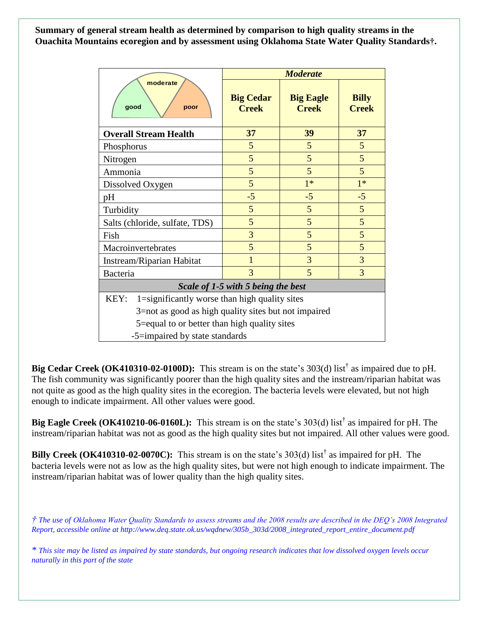**Summary of general stream health as determined by comparison to high quality streams in the Ouachita Mountains ecoregion and by assessment using Oklahoma State Water Quality Standards†.**

| moderate<br>qood<br>poor                              | <b>Moderate</b>                  |                                  |                              |
|-------------------------------------------------------|----------------------------------|----------------------------------|------------------------------|
|                                                       | <b>Big Cedar</b><br><b>Creek</b> | <b>Big Eagle</b><br><b>Creek</b> | <b>Billy</b><br><b>Creek</b> |
| <b>Overall Stream Health</b>                          | 37                               | 39                               | 37                           |
| Phosphorus                                            | 5                                | 5                                | 5                            |
| Nitrogen                                              | 5                                | 5                                | 5                            |
| Ammonia                                               | 5                                | 5                                | 5                            |
| Dissolved Oxygen                                      | 5                                | $1*$                             | $1*$                         |
| pH                                                    | $-5$                             | $-5$                             | $-5$                         |
| Turbidity                                             | 5                                | 5                                | 5                            |
| Salts (chloride, sulfate, TDS)                        | 5                                | 5                                | 5                            |
| Fish                                                  | 3                                | 5                                | 5                            |
| Macroinvertebrates                                    | 5                                | 5                                | 5                            |
| Instream/Riparian Habitat                             | $\overline{1}$                   | 3                                | 3                            |
| Bacteria                                              | 3                                | 5                                | 3                            |
| Scale of 1-5 with 5 being the best                    |                                  |                                  |                              |
| 1=significantly worse than high quality sites<br>KEY: |                                  |                                  |                              |
| 3=not as good as high quality sites but not impaired  |                                  |                                  |                              |
| 5=equal to or better than high quality sites          |                                  |                                  |                              |
| -5=impaired by state standards                        |                                  |                                  |                              |

**Big Cedar Creek (OK410310-02-0100D):** This stream is on the state's 303(d) list<sup>†</sup> as impaired due to pH. The fish community was significantly poorer than the high quality sites and the instream/riparian habitat was not quite as good as the high quality sites in the ecoregion. The bacteria levels were elevated, but not high enough to indicate impairment. All other values were good.

Big Eagle Creek (OK410210-06-0160L): This stream is on the state's 303(d) list<sup>†</sup> as impaired for pH. The instream/riparian habitat was not as good as the high quality sites but not impaired. All other values were good.

**Billy Creek (OK410310-02-0070C):** This stream is on the state's 303(d) list<sup>†</sup> as impaired for pH. The bacteria levels were not as low as the high quality sites, but were not high enough to indicate impairment. The instream/riparian habitat was of lower quality than the high quality sites.

*† The use of Oklahoma Water Quality Standards to assess streams and the 2008 results are described in the DEQ's 2008 Integrated Report, accessible online at http://www.deq.state.ok.us/wqdnew/305b\_303d/2008\_integrated\_report\_entire\_document.pdf*

*\* This site may be listed as impaired by state standards, but ongoing research indicates that low dissolved oxygen levels occur naturally in this part of the state*